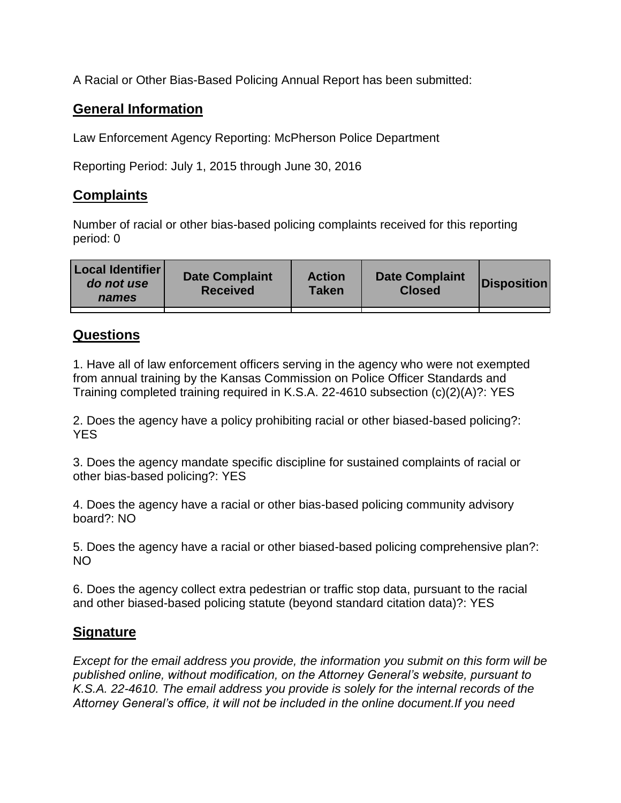A Racial or Other Bias-Based Policing Annual Report has been submitted:

## **General Information**

Law Enforcement Agency Reporting: McPherson Police Department

Reporting Period: July 1, 2015 through June 30, 2016

## **Complaints**

Number of racial or other bias-based policing complaints received for this reporting period: 0

| <b>Local Identifier</b><br>do not use<br>names | <b>Date Complaint</b><br><b>Received</b> | <b>Action</b><br><b>Taken</b> | <b>Date Complaint</b><br><b>Closed</b> | Disposition |
|------------------------------------------------|------------------------------------------|-------------------------------|----------------------------------------|-------------|
|                                                |                                          |                               |                                        |             |

## **Questions**

1. Have all of law enforcement officers serving in the agency who were not exempted from annual training by the Kansas Commission on Police Officer Standards and Training completed training required in K.S.A. 22-4610 subsection (c)(2)(A)?: YES

2. Does the agency have a policy prohibiting racial or other biased-based policing?: YES

3. Does the agency mandate specific discipline for sustained complaints of racial or other bias-based policing?: YES

4. Does the agency have a racial or other bias-based policing community advisory board?: NO

5. Does the agency have a racial or other biased-based policing comprehensive plan?: NO

6. Does the agency collect extra pedestrian or traffic stop data, pursuant to the racial and other biased-based policing statute (beyond standard citation data)?: YES

## **Signature**

*Except for the email address you provide, the information you submit on this form will be published online, without modification, on the Attorney General's website, pursuant to K.S.A. 22-4610. The email address you provide is solely for the internal records of the Attorney General's office, it will not be included in the online document.If you need*